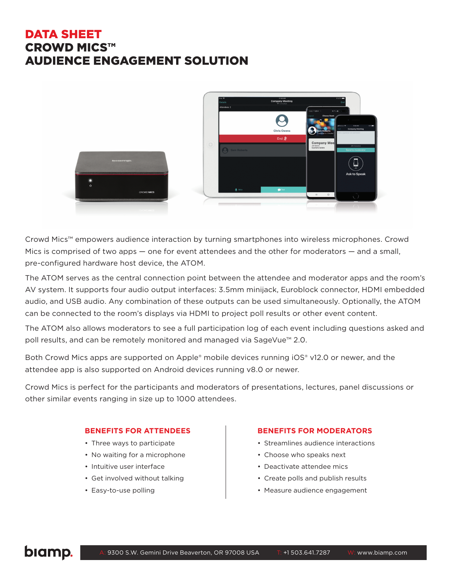# DATA SHEET CROWD MICS™ AUDIENCE ENGAGEMENT SOLUTION



Crowd Mics™ empowers audience interaction by turning smartphones into wireless microphones. Crowd Mics is comprised of two apps — one for event attendees and the other for moderators — and a small, pre-configured hardware host device, the ATOM.

The ATOM serves as the central connection point between the attendee and moderator apps and the room's AV system. It supports four audio output interfaces: 3.5mm minijack, Euroblock connector, HDMI embedded audio, and USB audio. Any combination of these outputs can be used simultaneously. Optionally, the ATOM can be connected to the room's displays via HDMI to project poll results or other event content.

The ATOM also allows moderators to see a full participation log of each event including questions asked and poll results, and can be remotely monitored and managed via SageVue™ 2.0.

Both Crowd Mics apps are supported on Apple® mobile devices running iOS® v12.0 or newer, and the attendee app is also supported on Android devices running v8.0 or newer.

Crowd Mics is perfect for the participants and moderators of presentations, lectures, panel discussions or other similar events ranging in size up to 1000 attendees.

#### **BENEFITS FOR ATTENDEES**

- Three ways to participate
- No waiting for a microphone
- Intuitive user interface
- Get involved without talking
- Easy-to-use polling

#### **BENEFITS FOR MODERATORS**

- Streamlines audience interactions
- Choose who speaks next
- Deactivate attendee mics
- Create polls and publish results
- Measure audience engagement